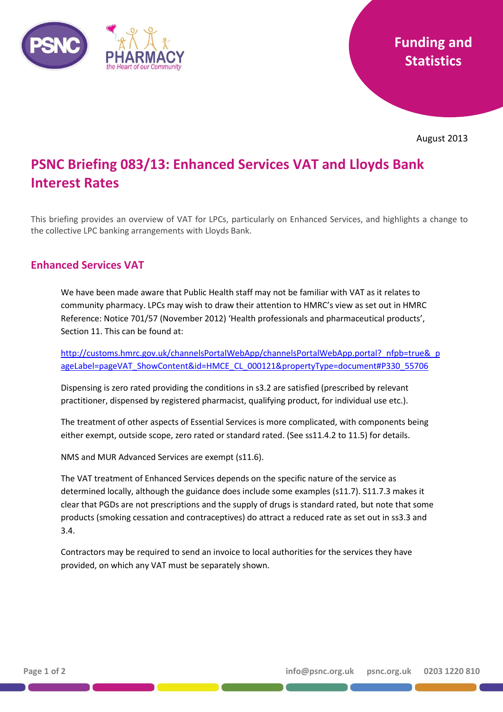

August 2013

## **PSNC Briefing 083/13: Enhanced Services VAT and Lloyds Bank Interest Rates**

This briefing provides an overview of VAT for LPCs, particularly on Enhanced Services, and highlights a change to the collective LPC banking arrangements with Lloyds Bank.

## **Enhanced Services VAT**

We have been made aware that Public Health staff may not be familiar with VAT as it relates to community pharmacy. LPCs may wish to draw their attention to HMRC's view as set out in HMRC Reference: Notice 701/57 (November 2012) 'Health professionals and pharmaceutical products', Section 11. This can be found at:

[http://customs.hmrc.gov.uk/channelsPortalWebApp/channelsPortalWebApp.portal?\\_nfpb=true&\\_p](http://customs.hmrc.gov.uk/channelsPortalWebApp/channelsPortalWebApp.portal?_nfpb=true&_pageLabel=pageVAT_ShowContent&id=HMCE_CL_000121&propertyType=document#P330_55706) [ageLabel=pageVAT\\_ShowContent&id=HMCE\\_CL\\_000121&propertyType=document#P330\\_55706](http://customs.hmrc.gov.uk/channelsPortalWebApp/channelsPortalWebApp.portal?_nfpb=true&_pageLabel=pageVAT_ShowContent&id=HMCE_CL_000121&propertyType=document#P330_55706)

Dispensing is zero rated providing the conditions in s3.2 are satisfied (prescribed by relevant practitioner, dispensed by registered pharmacist, qualifying product, for individual use etc.).

The treatment of other aspects of Essential Services is more complicated, with components being either exempt, outside scope, zero rated or standard rated. (See ss11.4.2 to 11.5) for details.

NMS and MUR Advanced Services are exempt (s11.6).

The VAT treatment of Enhanced Services depends on the specific nature of the service as determined locally, although the guidance does include some examples (s11.7). S11.7.3 makes it clear that PGDs are not prescriptions and the supply of drugs is standard rated, but note that some products (smoking cessation and contraceptives) do attract a reduced rate as set out in ss3.3 and 3.4.

Contractors may be required to send an invoice to local authorities for the services they have provided, on which any VAT must be separately shown.